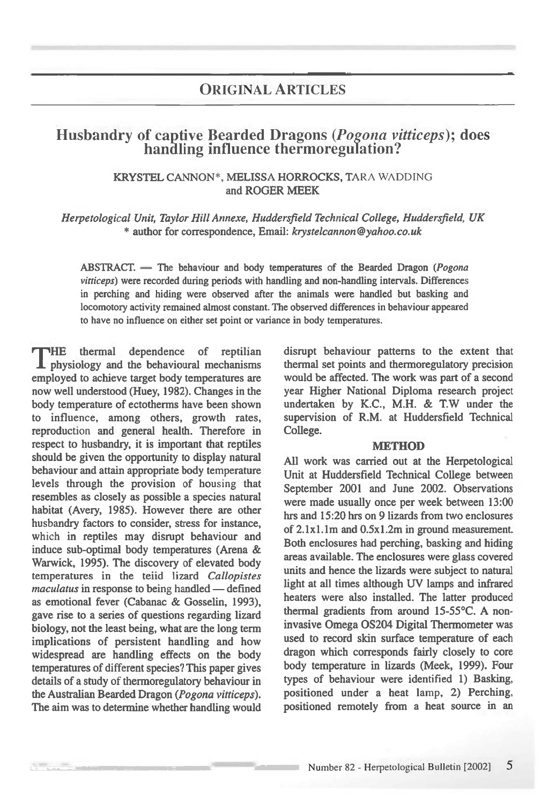# ORIGINAL ARTICLES

# **Husbandry of captive Bearded Dragons** *(Pogona vitticeps)***; does handling influence thermoregulation?**

## KRYSTEL CANNON\*, MELISSA HORROCKS, TARA WADDING and ROGER MEEK

*Herpetological Unit, Taylor Hill Annexe, Huddersfield Technical College, Huddersfield, UK*  \* author for correspondence, *Email: laystelcannon@yahoo.co.uk* 

ABSTRACT. — The behaviour and body temperatures of the Bearded Dragon *(Pogona vitticeps)* were recorded during periods with handling and non-handling intervals. Differences in perching and hiding were observed after the animals were handled but basking and locomotory activity remained almost constant. The observed differences in behaviour appeared to have no influence on either set point or variance in body temperatures.

THE thermal dependence of reptilian<br>physiology and the behavioural mechanisms THE thermal dependence of reptilian employed to achieve target body temperatures are now well understood (Huey, 1982). Changes in the body temperature of ectotherms have been shown to influence, among others, growth rates, reproduction and general health. Therefore in respect to husbandry, it is important that reptiles should be given the opportunity to display natural behaviour and attain appropriate body temperature levels through the provision of housing that resembles as closely as possible a species natural habitat (Avery, 1985). However there are other husbandry factors to consider, stress for instance, which in reptiles may disrupt behaviour and induce sub-optimal body temperatures (Arena & Warwick, 1995). The discovery of elevated body temperatures in the teiid lizard *Callopistes maculatus* in response to being handled — defined as emotional fever (Cabanac & Gosselin, 1993), gave rise to a series of questions regarding lizard biology, not the least being, what are the long term implications of persistent handling and how widespread are handling effects on the body temperatures of different species? This paper gives details of a study of thermoregulatory behaviour in the Australian Bearded Dragon *(Pogona vitticeps).*  The aim was to determine whether handling would

disrupt behaviour patterns to the extent that thermal set points and thermoregulatory precision would be affected. The work was part of a second year Higher National Diploma research project undertaken by K.C., M.H. & T.W under the supervision of R.M. at Huddersfield Technical College.

#### **METHOD**

All work was carried out at the Herpetological Unit at Huddersfield Technical College between September 2001 and June 2002. Observations were made usually once per week between 13:00 hrs and 15:20 hrs on 9 lizards from two enclosures of 2.1x1.1m and 0.5x1.2m in ground measurement. Both enclosures had perching, basking and hiding areas available. The enclosures were glass covered units and hence the lizards were subject to natural light at all times although UV lamps and infrared heaters were also installed. The latter produced thermal gradients from around 15-55°C. A noninvasive Omega OS204 Digital Thermometer was used to record skin surface temperature of each dragon which corresponds fairly closely to core body temperature in lizards (Meek, 1999). Four types of behaviour were identified 1) Basking, positioned under a heat lamp, 2) Perching, positioned remotely from a heat source in an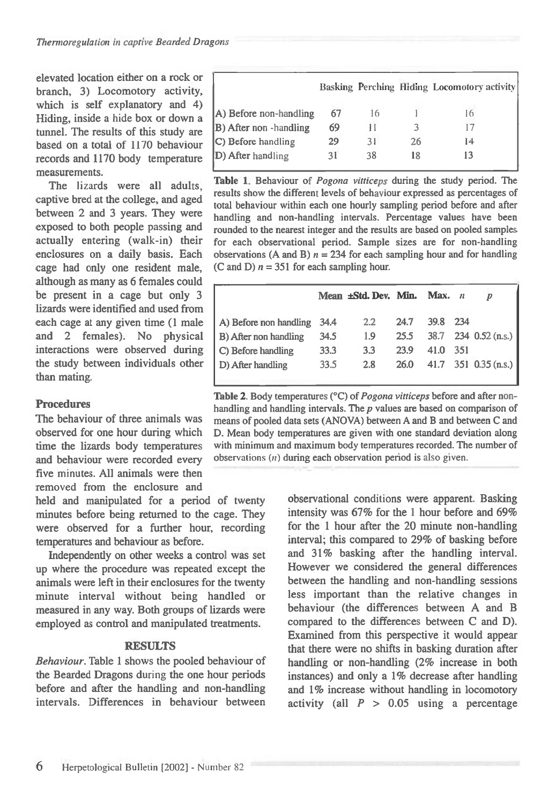elevated location either on a rock or branch, 3) Locomotory activity, which is self explanatory and 4) Hiding, inside a hide box or down a tunnel. The results of this study are based on a total of 1170 behaviour records and 1170 body temperature measurements.

The lizards were all adults, captive bred at the college, and aged between 2 and 3 years. They were exposed to both people passing and actually entering (walk-in) their enclosures on a daily basis. Each cage had only one resident male, although as many as 6 females could be present in a cage but only 3 lizards were identified and used from each cage at any given time (1 male and 2 females). No physical interactions were observed during the study between individuals other than mating.

# Procedures

The behaviour of three animals was observed for one hour during which time the lizards body temperatures and behaviour were recorded every five minutes. All animals were then removed from the enclosure and

held and manipulated for a period of twenty minutes before being returned to the cage. They were observed for a further hour, recording temperatures and behaviour as before.

Independently on other weeks a control was set up where the procedure was repeated except the animals were left in their enclosures for the twenty minute interval without being handled or measured in any way. Both groups of lizards were employed as control and manipulated treatments.

### **RESULTS**

Behaviour. Table 1 shows the pooled behaviour of the Bearded Dragons during the one hour periods before and after the handling and non-handling intervals. Differences in behaviour between

|                        |    |    |    | Basking Perching Hiding Locomotory activity |
|------------------------|----|----|----|---------------------------------------------|
| A) Before non-handling | 67 |    |    | 16                                          |
| B) After non -handling | 69 | Н  |    | 17                                          |
| C) Before handling     | 29 | 31 | 26 | 14                                          |
| D) After handling      | 31 | 38 |    | 13                                          |

**Table 1.** Behaviour of *Pogona vitticeps* during the study period. The results show the different levels of behaviour expressed as percentages of total behaviour within each one hourly sampling period before and after handling and non-handling intervals. Percentage values have been rounded to the nearest integer and the results are based on pooled samples for each observational period. Sample sizes are for non-handling observations (A and B)  $n = 234$  for each sampling hour and for handling (C and D)  $n = 351$  for each sampling hour.

|      |     |      | Max.                 |     | D                                            |
|------|-----|------|----------------------|-----|----------------------------------------------|
| 34.4 | 2.2 | 24.7 | 39.8                 | 234 |                                              |
| 34.5 | 1.9 | 25.5 |                      |     |                                              |
| 33.3 | 3.3 | 23.9 | 41.0                 | 351 |                                              |
| 33.5 | 2.8 | 26.0 |                      |     |                                              |
|      |     |      | Mean ±Std. Dev. Min. |     | 38.7 234 0.52 (n.s.)<br>41.7 351 0.35 (n.s.) |

**Table 2. Body temperatures (°C) of** *Pogona vitticeps* before and after nonhandling and handling intervals. The *p* values are based on comparison of means of pooled data sets (ANOVA) between A and B and between C and D. Mean body temperatures are given with one standard deviation along with minimum and maximum body temperatures recorded. The number of observations  $(n)$  during each observation period is also given.

> observational conditions were apparent. Basking intensity was 67% for the 1 hour before and 69% for the 1 hour after the 20 minute non-handling interval; this compared to 29% of basking before and 31% basking after the handling interval. However we considered the general differences between the handling and non-handling sessions less important than the relative changes in behaviour (the differences between A and B compared to the differences between C and D). Examined from this perspective it would appear that there were no shifts in basking duration after handling or non-handling (2% increase in both instances) and only a 1% decrease after handling and 1% increase without handling in locomotory activity (all  $P > 0.05$  using a percentage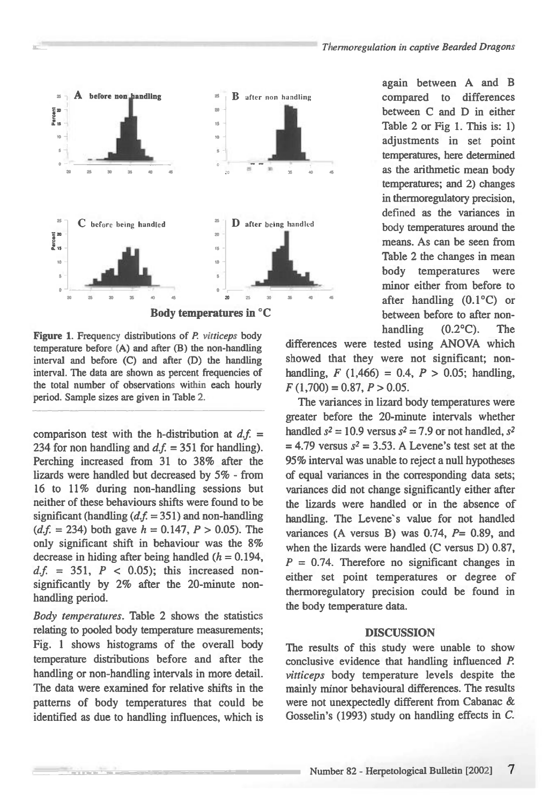

**Body temperatures in °C** 

**Figure** 1. Frequency distributions of *P. vitticeps* body temperature before (A) and after (B) the non-handling interval and before (C) and after (D) the handling interval. The data are shown as percent frequencies of the total number of observations within each hourly period. Sample sizes are given in Table 2.

comparison test with the h-distribution at  $d.f.$  = 234 for non handling and  $d.f. = 351$  for handling). **Perching increased from 31 to 38% after the lizards were handled but decreased by 5% - from 16 to 11% during non-handling sessions but neither of these behaviours shifts were found to be significant (handling** *(d.f.=* **351) and non-handling**   $(d.f. = 234)$  both gave  $h = 0.147$ ,  $P > 0.05$ ). The **only significant shift in behaviour was the 8%**  decrease in hiding after being handled  $(h = 0.194)$ ,  $d.f. = 351$ ,  $P < 0.05$ ; this increased non**significantly by 2% after the 20-minute nonhandling period.** 

*Body temperatures.* **Table 2 shows the statistics relating to pooled body temperature measurements; Fig. 1 shows histograms of the overall body temperature distributions before and after the handling or non-handling intervals in more detail. The data were examined for relative shifts in the patterns of body temperatures that could be identified as due to handling influences, which is**  **again between A and B compared to differences between C and D in either Table 2 or Fig 1. This is: 1) adjustments in set point temperatures, here determined <sup>35</sup> <sup>50</sup> as the arithmetic mean body temperatures; and 2) changes in thermoregulatory precision, defined as the variances in body temperatures around the means. As can be seen from Table 2 the changes in mean body temperatures were minor either from before to after handling (0.1°C) or between before to after nonhandling (0.2°C). The** 

**differences were tested using ANOVA which showed that they were not significant; nonhandling,** *F* **(1,466) = 0.4,** *P >* **0.05; handling,**  *F* **(1,700) = 0.87,** *P>* **0.05.** 

**The variances in lizard body temperatures were greater before the 20-minute intervals whether**  handled  $s^2 = 10.9$  versus  $s^2 = 7.9$  or not handled,  $s^2$  $= 4.79$  versus  $s^2 = 3.53$ . A Levene's test set at the **95% interval was unable to reject a null hypotheses of equal variances in the corresponding data sets; variances did not change significantly either after the lizards were handled or in the absence of**  handling. The Levene's value for not handled **variances (A versus B) was 0.74,** *P=* **0.89, and when the lizards were handled (C versus D) 0.87,**   $P = 0.74$ . Therefore no significant changes in **either set point temperatures or degree of thermoregulatory precision could be found in the body temperature data.** 

#### **DISCUSSION**

**The results of this study were unable to show conclusive evidence that handling influenced** *P. vitticeps* **body temperature levels despite the mainly minor behavioural differences. The results were not unexpectedly different from Cabanac & Gosselin's (1993) study on handling effects in** *C.*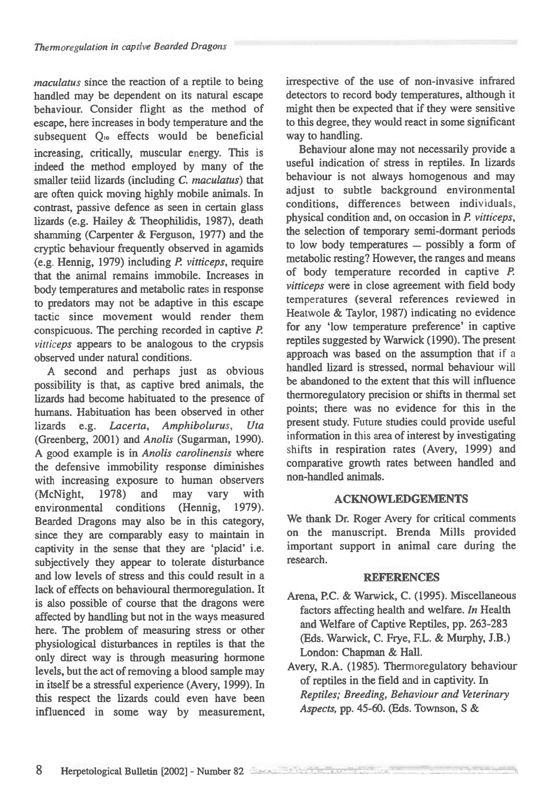*maculatus* since the reaction of a reptile to being handled may be dependent on its natural escape behaviour. Consider flight as the method of escape, here increases in body temperature and the subsequent Q<sub>10</sub> effects would be beneficial increasing, critically, muscular energy. This is indeed the method employed by many of the smaller teiid lizards (including *C. maculatus)* that are often quick moving highly mobile animals. In contrast, passive defence as seen in certain glass lizards (e.g. Hailey & Theophilidis, 1987), death shamming (Carpenter & Ferguson, 1977) and the cryptic behaviour frequently observed in agamids (e.g. Hennig, 1979) including *P. vitticeps,* require that the animal remains immobile. Increases in body temperatures and metabolic rates in response to predators may not be adaptive in this escape tactic since movement would render them conspicuous. The perching recorded in captive *P. vitticeps* appears to be analogous to the crypsis observed under natural conditions.

A second and perhaps just as obvious possibility is that, as captive bred animals, the lizards had become habituated to the presence of humans. Habituation has been observed in other lizards e.g. *Lacerta, Amphibolurus, Uta*  (Greenberg, 2001) and *Anolis* (Sugarman, 1990). A good example is in *Anolis carolinensis* where the defensive immobility response diminishes with increasing exposure to human observers (McNight, 1978) and may vary with environmental conditions (Hennig, 1979). Bearded Dragons may also be in this category, since they are comparably easy to maintain in captivity in the sense that they are 'placid' i.e. subjectively they appear to tolerate disturbance and low levels of stress and this could result in a lack of effects on behavioural thermoregulation. It is also possible of course that the dragons were affected by handling but not in the ways measured here. The problem of measuring stress or other physiological disturbances in reptiles is that the only direct way is through measuring hormone levels, but the act of removing a blood sample may in itself be a stressful experience (Avery, 1999). In this respect the lizards could even have been influenced in some way by measurement,

irrespective of the use of non-invasive infrared detectors to record body temperatures, although it might then be expected that if they were sensitive to this degree, they would react in some significant way to handling.

Behaviour alone may not necessarily provide a useful indication of stress in reptiles. In lizards behaviour is not always homogenous and may adjust to subtle background environmental conditions, differences between individuals, physical condition and, on occasion in *P. vitticeps,*  the selection of temporary semi-dormant periods to low body temperatures — possibly a form of metabolic resting? However, the ranges and means of body temperature recorded in captive *P. vitticeps* were in close agreement with field body temperatures (several references reviewed in Heatwole & Taylor, 1987) indicating no evidence for any low temperature preference' in captive reptiles suggested by Warwick (1990). The present approach was based on the assumption that if a handled lizard is stressed, normal behaviour will be abandoned to the extent that this will influence thermoregulatory precision or shifts in thermal set points; there was no evidence for this in the present study. Future studies could provide useful information in this area of interest by investigating shifts in respiration rates (Avery, 1999) and comparative growth rates between handled and non-handled animals.

# **ACKNOWLEDGEMENTS**

We thank Dr. Roger Avery for critical comments on the manuscript. Brenda Mills provided important support in animal care during the research.

### **REFERENCES**

- Arena, P.C. & Warwick, C. (1995). Miscellaneous factors affecting health and welfare. *In* Health and Welfare of Captive Reptiles, pp. 263-283 (Eds. Warwick, C. Frye, F.L. & Murphy, J.B.) London: Chapman & Hall.
- Avery, R.A. (1985). Thermoregulatory behaviour of reptiles in the field and in captivity. In *Reptiles; Breeding, Behaviour and Veterinary Aspects,* pp. 45-60. (Eds. Townson, S &